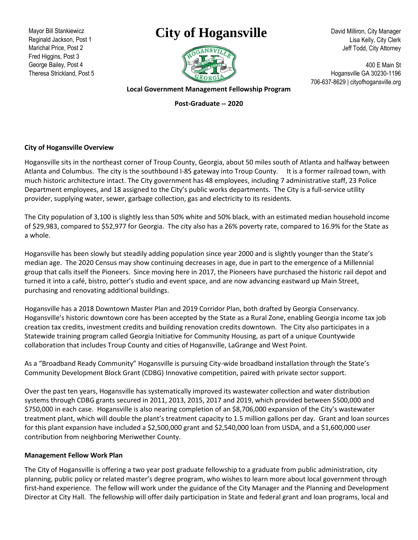Mayor Bill Stankiewicz Reginald Jackson, Post 1 Marichal Price, Post 2 Fred Higgins, Post 3 George Bailey, Post 4 Theresa Strickland, Post 5

## **City of Hogansville**



David Milliron, City Manager Lisa Kelly, City Clerk Jeff Todd, City Attorney

400 E Main St Hogansville GA 30230-1196 706-637-8629 | cityofhogansville.org

**Local Government Management Fellowship Program**

**Post-Graduate -- 2020**

## **City of Hogansville Overview**

Hogansville sits in the northeast corner of Troup County, Georgia, about 50 miles south of Atlanta and halfway between Atlanta and Columbus. The city is the southbound I-85 gateway into Troup County. It is a former railroad town, with much historic architecture intact. The City government has 48 employees, including 7 administrative staff, 23 Police Department employees, and 18 assigned to the City's public works departments. The City is a full-service utility provider, supplying water, sewer, garbage collection, gas and electricity to its residents.

The City population of 3,100 is slightly less than 50% white and 50% black, with an estimated median household income of \$29,983, compared to \$52,977 for Georgia. The city also has a 26% poverty rate, compared to 16.9% for the State as a whole.

Hogansville has been slowly but steadily adding population since year 2000 and is slightly younger than the State's median age. The 2020 Census may show continuing decreases in age, due in part to the emergence of a Millennial group that calls itself the Pioneers. Since moving here in 2017, the Pioneers have purchased the historic rail depot and turned it into a café, bistro, potter's studio and event space, and are now advancing eastward up Main Street, purchasing and renovating additional buildings.

Hogansville has a 2018 Downtown Master Plan and 2019 Corridor Plan, both drafted by Georgia Conservancy. Hogansville's historic downtown core has been accepted by the State as a Rural Zone, enabling Georgia income tax job creation tax credits, investment credits and building renovation credits downtown. The City also participates in a Statewide training program called Georgia Initiative for Community Housing, as part of a unique Countywide collaboration that includes Troup County and cities of Hogansville, LaGrange and West Point.

As a "Broadband Ready Community" Hogansville is pursuing City-wide broadband installation through the State's Community Development Block Grant (CDBG) Innovative competition, paired with private sector support.

Over the past ten years, Hogansville has systematically improved its wastewater collection and water distribution systems through CDBG grants secured in 2011, 2013, 2015, 2017 and 2019, which provided between \$500,000 and \$750,000 in each case. Hogansville is also nearing completion of an \$8,706,000 expansion of the City's wastewater treatment plant, which will double the plant's treatment capacity to 1.5 million gallons per day. Grant and loan sources for this plant expansion have included a \$2,500,000 grant and \$2,540,000 loan from USDA, and a \$1,600,000 user contribution from neighboring Meriwether County.

## **Management Fellow Work Plan**

The City of Hogansville is offering a two year post graduate fellowship to a graduate from public administration, city planning, public policy or related master's degree program, who wishes to learn more about local government through first-hand experience. The fellow will work under the guidance of the City Manager and the Planning and Development Director at City Hall. The fellowship will offer daily participation in State and federal grant and loan programs, local and